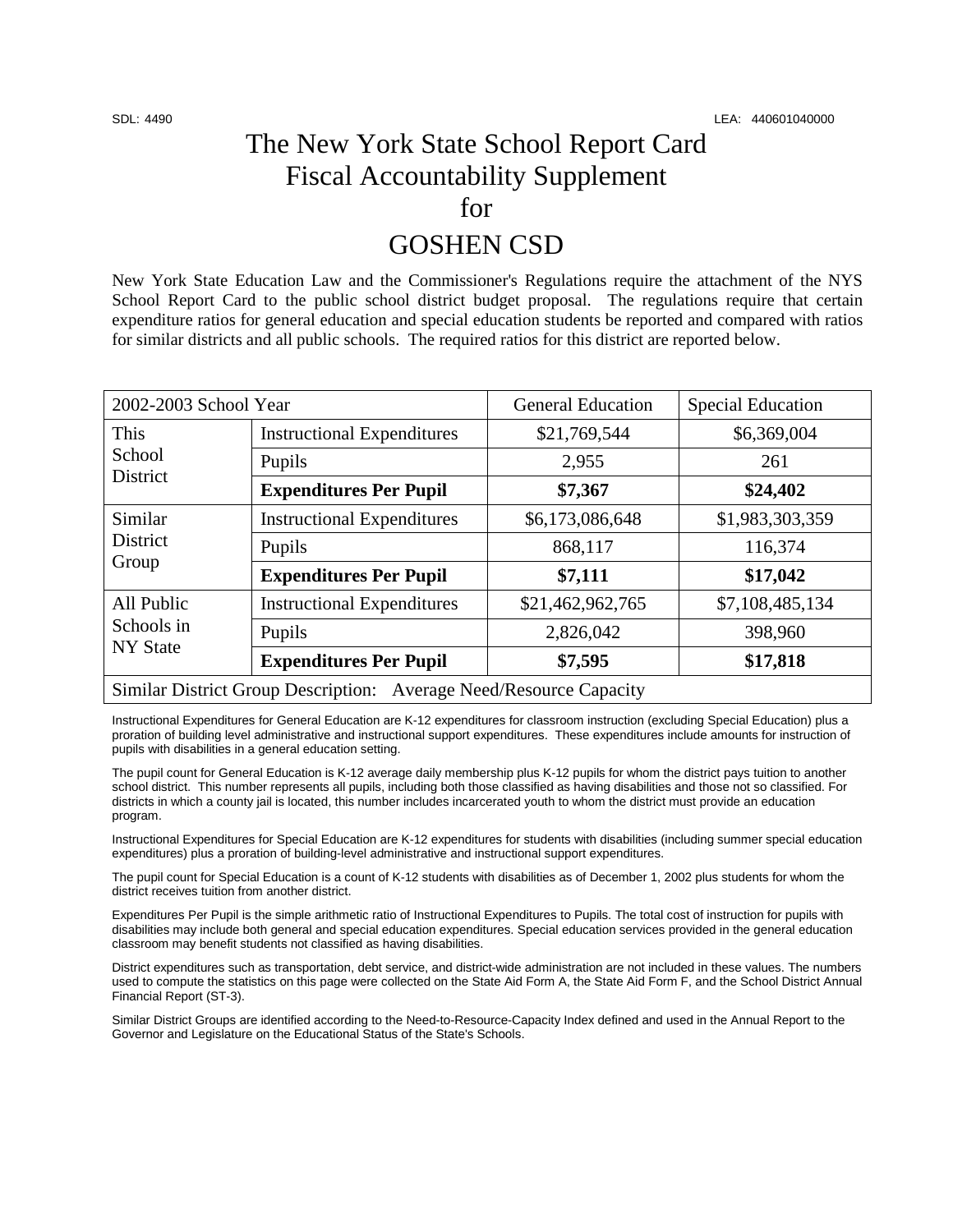## The New York State School Report Card Fiscal Accountability Supplement for

### GOSHEN CSD

New York State Education Law and the Commissioner's Regulations require the attachment of the NYS School Report Card to the public school district budget proposal. The regulations require that certain expenditure ratios for general education and special education students be reported and compared with ratios for similar districts and all public schools. The required ratios for this district are reported below.

| 2002-2003 School Year                                              |                                   | <b>General Education</b> | <b>Special Education</b> |  |  |
|--------------------------------------------------------------------|-----------------------------------|--------------------------|--------------------------|--|--|
| <b>This</b><br>School<br><b>District</b>                           | <b>Instructional Expenditures</b> | \$21,769,544             | \$6,369,004              |  |  |
|                                                                    | Pupils                            | 2,955                    | 261                      |  |  |
|                                                                    | <b>Expenditures Per Pupil</b>     | \$7,367                  | \$24,402                 |  |  |
| Similar<br><b>District</b><br>Group                                | <b>Instructional Expenditures</b> | \$6,173,086,648          | \$1,983,303,359          |  |  |
|                                                                    | Pupils                            | 868,117                  | 116,374                  |  |  |
|                                                                    | <b>Expenditures Per Pupil</b>     | \$7,111                  | \$17,042                 |  |  |
| All Public<br>Schools in<br><b>NY State</b>                        | <b>Instructional Expenditures</b> | \$21,462,962,765         | \$7,108,485,134          |  |  |
|                                                                    | Pupils                            | 2,826,042                | 398,960                  |  |  |
|                                                                    | <b>Expenditures Per Pupil</b>     | \$7,595                  | \$17,818                 |  |  |
| Similar District Group Description: Average Need/Resource Capacity |                                   |                          |                          |  |  |

Instructional Expenditures for General Education are K-12 expenditures for classroom instruction (excluding Special Education) plus a proration of building level administrative and instructional support expenditures. These expenditures include amounts for instruction of pupils with disabilities in a general education setting.

The pupil count for General Education is K-12 average daily membership plus K-12 pupils for whom the district pays tuition to another school district. This number represents all pupils, including both those classified as having disabilities and those not so classified. For districts in which a county jail is located, this number includes incarcerated youth to whom the district must provide an education program.

Instructional Expenditures for Special Education are K-12 expenditures for students with disabilities (including summer special education expenditures) plus a proration of building-level administrative and instructional support expenditures.

The pupil count for Special Education is a count of K-12 students with disabilities as of December 1, 2002 plus students for whom the district receives tuition from another district.

Expenditures Per Pupil is the simple arithmetic ratio of Instructional Expenditures to Pupils. The total cost of instruction for pupils with disabilities may include both general and special education expenditures. Special education services provided in the general education classroom may benefit students not classified as having disabilities.

District expenditures such as transportation, debt service, and district-wide administration are not included in these values. The numbers used to compute the statistics on this page were collected on the State Aid Form A, the State Aid Form F, and the School District Annual Financial Report (ST-3).

Similar District Groups are identified according to the Need-to-Resource-Capacity Index defined and used in the Annual Report to the Governor and Legislature on the Educational Status of the State's Schools.